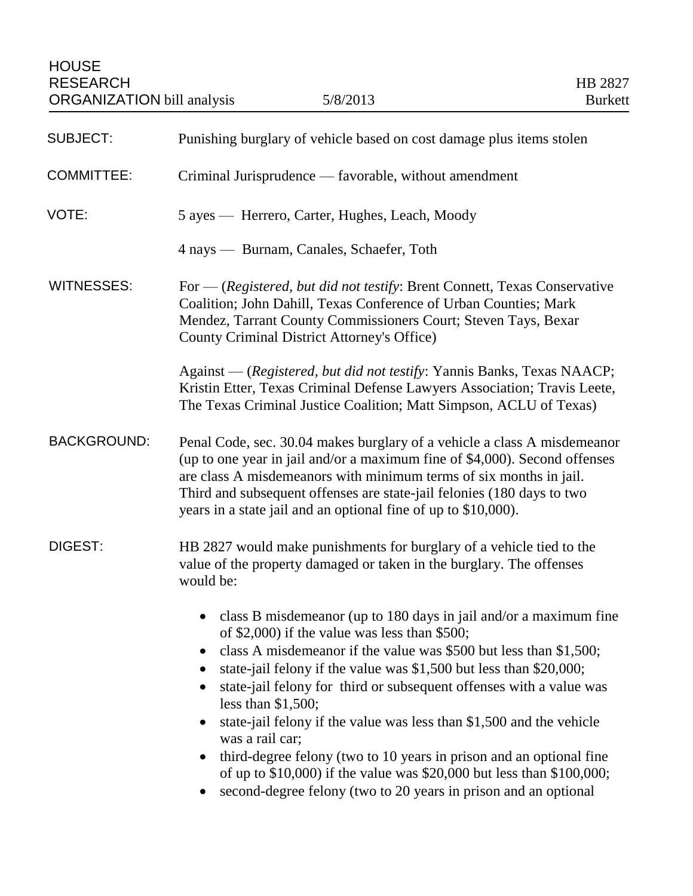| Punishing burglary of vehicle based on cost damage plus items stolen                                                                                                                                                                                                                                                                                                                                                                                                                                                                                                                                                                                                                                                 |
|----------------------------------------------------------------------------------------------------------------------------------------------------------------------------------------------------------------------------------------------------------------------------------------------------------------------------------------------------------------------------------------------------------------------------------------------------------------------------------------------------------------------------------------------------------------------------------------------------------------------------------------------------------------------------------------------------------------------|
| Criminal Jurisprudence — favorable, without amendment                                                                                                                                                                                                                                                                                                                                                                                                                                                                                                                                                                                                                                                                |
| 5 ayes — Herrero, Carter, Hughes, Leach, Moody                                                                                                                                                                                                                                                                                                                                                                                                                                                                                                                                                                                                                                                                       |
| 4 nays — Burnam, Canales, Schaefer, Toth                                                                                                                                                                                                                                                                                                                                                                                                                                                                                                                                                                                                                                                                             |
| For — (Registered, but did not testify: Brent Connett, Texas Conservative<br>Coalition; John Dahill, Texas Conference of Urban Counties; Mark<br>Mendez, Tarrant County Commissioners Court; Steven Tays, Bexar<br>County Criminal District Attorney's Office)                                                                                                                                                                                                                                                                                                                                                                                                                                                       |
| Against — (Registered, but did not testify: Yannis Banks, Texas NAACP;<br>Kristin Etter, Texas Criminal Defense Lawyers Association; Travis Leete,<br>The Texas Criminal Justice Coalition; Matt Simpson, ACLU of Texas)                                                                                                                                                                                                                                                                                                                                                                                                                                                                                             |
| Penal Code, sec. 30.04 makes burglary of a vehicle a class A misdemeanor<br>(up to one year in jail and/or a maximum fine of \$4,000). Second offenses<br>are class A misdemeanors with minimum terms of six months in jail.<br>Third and subsequent offenses are state-jail felonies (180 days to two<br>years in a state jail and an optional fine of up to \$10,000).                                                                                                                                                                                                                                                                                                                                             |
| HB 2827 would make punishments for burglary of a vehicle tied to the<br>value of the property damaged or taken in the burglary. The offenses<br>would be:                                                                                                                                                                                                                                                                                                                                                                                                                                                                                                                                                            |
| class B misdemeanor (up to 180 days in jail and/or a maximum fine<br>of \$2,000) if the value was less than \$500;<br>class A misdemeanor if the value was \$500 but less than \$1,500;<br>state-jail felony if the value was \$1,500 but less than \$20,000;<br>state-jail felony for third or subsequent offenses with a value was<br>$\bullet$<br>less than $$1,500$ ;<br>state-jail felony if the value was less than \$1,500 and the vehicle<br>was a rail car;<br>third-degree felony (two to 10 years in prison and an optional fine<br>$\bullet$<br>of up to $$10,000$ if the value was $$20,000$ but less than $$100,000$ ;<br>second-degree felony (two to 20 years in prison and an optional<br>$\bullet$ |
|                                                                                                                                                                                                                                                                                                                                                                                                                                                                                                                                                                                                                                                                                                                      |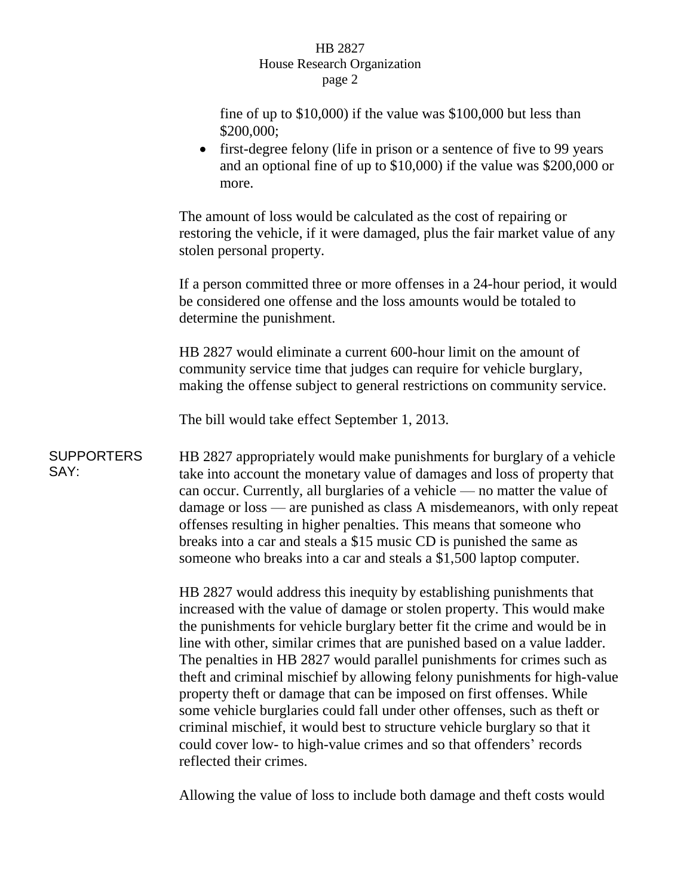## HB 2827 House Research Organization page 2

fine of up to \$10,000) if the value was \$100,000 but less than \$200,000;

• first-degree felony (life in prison or a sentence of five to 99 years) and an optional fine of up to \$10,000) if the value was \$200,000 or more.

The amount of loss would be calculated as the cost of repairing or restoring the vehicle, if it were damaged, plus the fair market value of any stolen personal property.

If a person committed three or more offenses in a 24-hour period, it would be considered one offense and the loss amounts would be totaled to determine the punishment.

HB 2827 would eliminate a current 600-hour limit on the amount of community service time that judges can require for vehicle burglary, making the offense subject to general restrictions on community service.

The bill would take effect September 1, 2013.

**SUPPORTERS** SAY: HB 2827 appropriately would make punishments for burglary of a vehicle take into account the monetary value of damages and loss of property that can occur. Currently, all burglaries of a vehicle — no matter the value of damage or loss — are punished as class A misdemeanors, with only repeat offenses resulting in higher penalties. This means that someone who breaks into a car and steals a \$15 music CD is punished the same as someone who breaks into a car and steals a \$1,500 laptop computer.

> HB 2827 would address this inequity by establishing punishments that increased with the value of damage or stolen property. This would make the punishments for vehicle burglary better fit the crime and would be in line with other, similar crimes that are punished based on a value ladder. The penalties in HB 2827 would parallel punishments for crimes such as theft and criminal mischief by allowing felony punishments for high-value property theft or damage that can be imposed on first offenses. While some vehicle burglaries could fall under other offenses, such as theft or criminal mischief, it would best to structure vehicle burglary so that it could cover low- to high-value crimes and so that offenders' records reflected their crimes.

Allowing the value of loss to include both damage and theft costs would